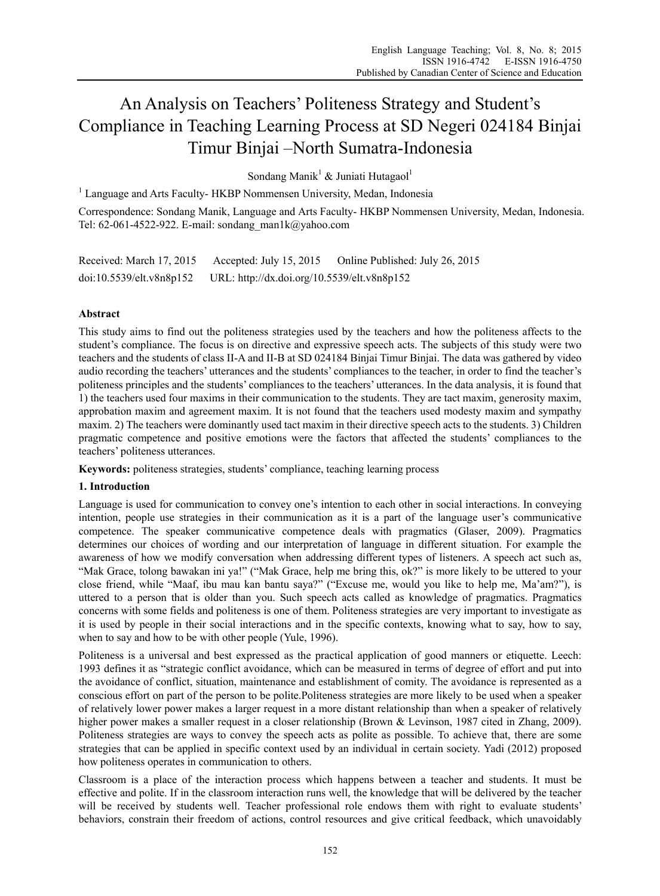# An Analysis on Teachers' Politeness Strategy and Student's Compliance in Teaching Learning Process at SD Negeri 024184 Binjai Timur Binjai –North Sumatra-Indonesia

Sondang Manik<sup>1</sup> & Juniati Hutagaol<sup>1</sup>

<sup>1</sup> Language and Arts Faculty- HKBP Nommensen University, Medan, Indonesia

Correspondence: Sondang Manik, Language and Arts Faculty- HKBP Nommensen University, Medan, Indonesia. Tel: 62-061-4522-922. E-mail: sondang\_man1k@yahoo.com

| Received: March 17, 2015 | Accepted: July 15, 2015                     | Online Published: July 26, 2015 |
|--------------------------|---------------------------------------------|---------------------------------|
| doi:10.5539/elt.v8n8p152 | URL: http://dx.doi.org/10.5539/elt.v8n8p152 |                                 |

# **Abstract**

This study aims to find out the politeness strategies used by the teachers and how the politeness affects to the student's compliance. The focus is on directive and expressive speech acts. The subjects of this study were two teachers and the students of class II-A and II-B at SD 024184 Binjai Timur Binjai. The data was gathered by video audio recording the teachers' utterances and the students' compliances to the teacher, in order to find the teacher's politeness principles and the students' compliances to the teachers' utterances. In the data analysis, it is found that 1) the teachers used four maxims in their communication to the students. They are tact maxim, generosity maxim, approbation maxim and agreement maxim. It is not found that the teachers used modesty maxim and sympathy maxim. 2) The teachers were dominantly used tact maxim in their directive speech acts to the students. 3) Children pragmatic competence and positive emotions were the factors that affected the students' compliances to the teachers' politeness utterances.

**Keywords:** politeness strategies, students' compliance, teaching learning process

# **1. Introduction**

Language is used for communication to convey one's intention to each other in social interactions. In conveying intention, people use strategies in their communication as it is a part of the language user's communicative competence. The speaker communicative competence deals with pragmatics (Glaser, 2009). Pragmatics determines our choices of wording and our interpretation of language in different situation. For example the awareness of how we modify conversation when addressing different types of listeners. A speech act such as, "Mak Grace, tolong bawakan ini ya!" ("Mak Grace, help me bring this, ok?" is more likely to be uttered to your close friend, while "Maaf, ibu mau kan bantu saya?" ("Excuse me, would you like to help me, Ma'am?"), is uttered to a person that is older than you. Such speech acts called as knowledge of pragmatics. Pragmatics concerns with some fields and politeness is one of them. Politeness strategies are very important to investigate as it is used by people in their social interactions and in the specific contexts, knowing what to say, how to say, when to say and how to be with other people (Yule, 1996).

Politeness is a universal and best expressed as the practical application of good manners or etiquette. Leech: 1993 defines it as "strategic conflict avoidance, which can be measured in terms of degree of effort and put into the avoidance of conflict, situation, maintenance and establishment of comity. The avoidance is represented as a conscious effort on part of the person to be polite.Politeness strategies are more likely to be used when a speaker of relatively lower power makes a larger request in a more distant relationship than when a speaker of relatively higher power makes a smaller request in a closer relationship (Brown & Levinson, 1987 cited in Zhang, 2009). Politeness strategies are ways to convey the speech acts as polite as possible. To achieve that, there are some strategies that can be applied in specific context used by an individual in certain society. Yadi (2012) proposed how politeness operates in communication to others.

Classroom is a place of the interaction process which happens between a teacher and students. It must be effective and polite. If in the classroom interaction runs well, the knowledge that will be delivered by the teacher will be received by students well. Teacher professional role endows them with right to evaluate students' behaviors, constrain their freedom of actions, control resources and give critical feedback, which unavoidably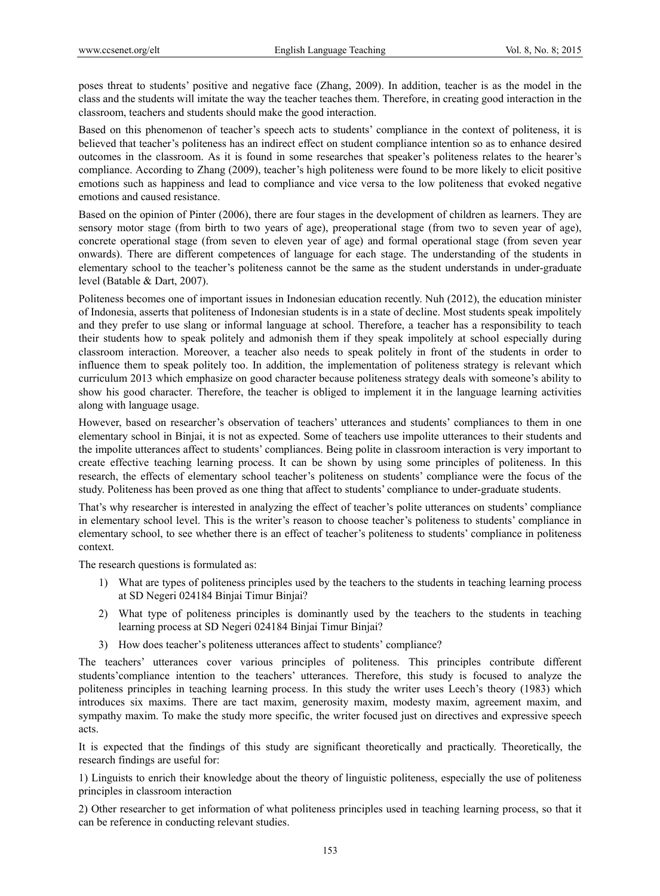poses threat to students' positive and negative face (Zhang, 2009). In addition, teacher is as the model in the class and the students will imitate the way the teacher teaches them. Therefore, in creating good interaction in the classroom, teachers and students should make the good interaction.

Based on this phenomenon of teacher's speech acts to students' compliance in the context of politeness, it is believed that teacher's politeness has an indirect effect on student compliance intention so as to enhance desired outcomes in the classroom. As it is found in some researches that speaker's politeness relates to the hearer's compliance. According to Zhang (2009), teacher's high politeness were found to be more likely to elicit positive emotions such as happiness and lead to compliance and vice versa to the low politeness that evoked negative emotions and caused resistance.

Based on the opinion of Pinter (2006), there are four stages in the development of children as learners. They are sensory motor stage (from birth to two years of age), preoperational stage (from two to seven year of age), concrete operational stage (from seven to eleven year of age) and formal operational stage (from seven year onwards). There are different competences of language for each stage. The understanding of the students in elementary school to the teacher's politeness cannot be the same as the student understands in under-graduate level (Batable & Dart, 2007).

Politeness becomes one of important issues in Indonesian education recently. Nuh (2012), the education minister of Indonesia, asserts that politeness of Indonesian students is in a state of decline. Most students speak impolitely and they prefer to use slang or informal language at school. Therefore, a teacher has a responsibility to teach their students how to speak politely and admonish them if they speak impolitely at school especially during classroom interaction. Moreover, a teacher also needs to speak politely in front of the students in order to influence them to speak politely too. In addition, the implementation of politeness strategy is relevant which curriculum 2013 which emphasize on good character because politeness strategy deals with someone's ability to show his good character. Therefore, the teacher is obliged to implement it in the language learning activities along with language usage.

However, based on researcher's observation of teachers' utterances and students' compliances to them in one elementary school in Binjai, it is not as expected. Some of teachers use impolite utterances to their students and the impolite utterances affect to students' compliances. Being polite in classroom interaction is very important to create effective teaching learning process. It can be shown by using some principles of politeness. In this research, the effects of elementary school teacher's politeness on students' compliance were the focus of the study. Politeness has been proved as one thing that affect to students' compliance to under-graduate students.

That's why researcher is interested in analyzing the effect of teacher's polite utterances on students' compliance in elementary school level. This is the writer's reason to choose teacher's politeness to students' compliance in elementary school, to see whether there is an effect of teacher's politeness to students' compliance in politeness context.

The research questions is formulated as:

- 1) What are types of politeness principles used by the teachers to the students in teaching learning process at SD Negeri 024184 Binjai Timur Binjai?
- 2) What type of politeness principles is dominantly used by the teachers to the students in teaching learning process at SD Negeri 024184 Binjai Timur Binjai?
- 3) How does teacher's politeness utterances affect to students' compliance?

The teachers' utterances cover various principles of politeness. This principles contribute different students'compliance intention to the teachers' utterances. Therefore, this study is focused to analyze the politeness principles in teaching learning process. In this study the writer uses Leech's theory (1983) which introduces six maxims. There are tact maxim, generosity maxim, modesty maxim, agreement maxim, and sympathy maxim. To make the study more specific, the writer focused just on directives and expressive speech acts.

It is expected that the findings of this study are significant theoretically and practically. Theoretically, the research findings are useful for:

1) Linguists to enrich their knowledge about the theory of linguistic politeness, especially the use of politeness principles in classroom interaction

2) Other researcher to get information of what politeness principles used in teaching learning process, so that it can be reference in conducting relevant studies.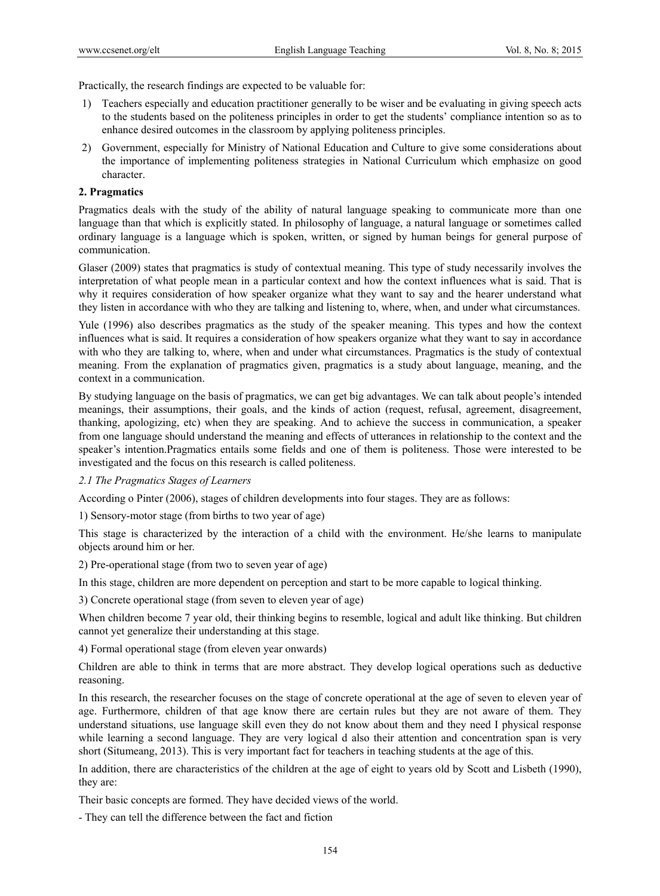Practically, the research findings are expected to be valuable for:

- 1) Teachers especially and education practitioner generally to be wiser and be evaluating in giving speech acts to the students based on the politeness principles in order to get the students' compliance intention so as to enhance desired outcomes in the classroom by applying politeness principles.
- 2) Government, especially for Ministry of National Education and Culture to give some considerations about the importance of implementing politeness strategies in National Curriculum which emphasize on good character.

## **2. Pragmatics**

Pragmatics deals with the study of the ability of natural language speaking to communicate more than one language than that which is explicitly stated. In philosophy of language, a natural language or sometimes called ordinary language is a language which is spoken, written, or signed by human beings for general purpose of communication.

Glaser (2009) states that pragmatics is study of contextual meaning. This type of study necessarily involves the interpretation of what people mean in a particular context and how the context influences what is said. That is why it requires consideration of how speaker organize what they want to say and the hearer understand what they listen in accordance with who they are talking and listening to, where, when, and under what circumstances.

Yule (1996) also describes pragmatics as the study of the speaker meaning. This types and how the context influences what is said. It requires a consideration of how speakers organize what they want to say in accordance with who they are talking to, where, when and under what circumstances. Pragmatics is the study of contextual meaning. From the explanation of pragmatics given, pragmatics is a study about language, meaning, and the context in a communication.

By studying language on the basis of pragmatics, we can get big advantages. We can talk about people's intended meanings, their assumptions, their goals, and the kinds of action (request, refusal, agreement, disagreement, thanking, apologizing, etc) when they are speaking. And to achieve the success in communication, a speaker from one language should understand the meaning and effects of utterances in relationship to the context and the speaker's intention.Pragmatics entails some fields and one of them is politeness. Those were interested to be investigated and the focus on this research is called politeness.

#### *2.1 The Pragmatics Stages of Learners*

According o Pinter (2006), stages of children developments into four stages. They are as follows:

1) Sensory-motor stage (from births to two year of age)

This stage is characterized by the interaction of a child with the environment. He/she learns to manipulate objects around him or her.

2) Pre-operational stage (from two to seven year of age)

In this stage, children are more dependent on perception and start to be more capable to logical thinking.

3) Concrete operational stage (from seven to eleven year of age)

When children become 7 year old, their thinking begins to resemble, logical and adult like thinking. But children cannot yet generalize their understanding at this stage.

4) Formal operational stage (from eleven year onwards)

Children are able to think in terms that are more abstract. They develop logical operations such as deductive reasoning.

In this research, the researcher focuses on the stage of concrete operational at the age of seven to eleven year of age. Furthermore, children of that age know there are certain rules but they are not aware of them. They understand situations, use language skill even they do not know about them and they need I physical response while learning a second language. They are very logical d also their attention and concentration span is very short (Situmeang, 2013). This is very important fact for teachers in teaching students at the age of this.

In addition, there are characteristics of the children at the age of eight to years old by Scott and Lisbeth (1990), they are:

Their basic concepts are formed. They have decided views of the world.

- They can tell the difference between the fact and fiction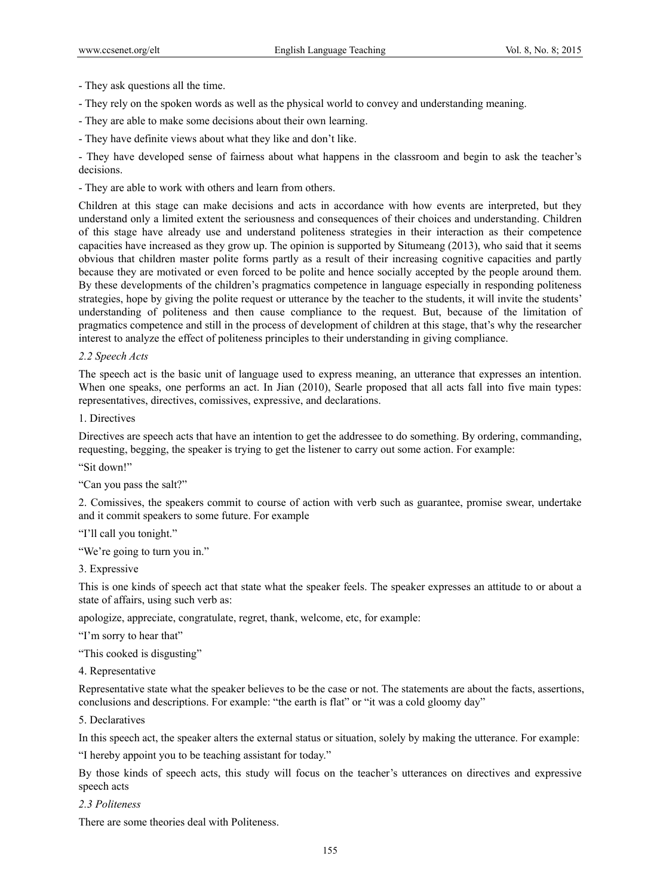- They ask questions all the time.

- They rely on the spoken words as well as the physical world to convey and understanding meaning.
- They are able to make some decisions about their own learning.
- They have definite views about what they like and don't like.

- They have developed sense of fairness about what happens in the classroom and begin to ask the teacher's decisions.

- They are able to work with others and learn from others.

Children at this stage can make decisions and acts in accordance with how events are interpreted, but they understand only a limited extent the seriousness and consequences of their choices and understanding. Children of this stage have already use and understand politeness strategies in their interaction as their competence capacities have increased as they grow up. The opinion is supported by Situmeang (2013), who said that it seems obvious that children master polite forms partly as a result of their increasing cognitive capacities and partly because they are motivated or even forced to be polite and hence socially accepted by the people around them. By these developments of the children's pragmatics competence in language especially in responding politeness strategies, hope by giving the polite request or utterance by the teacher to the students, it will invite the students' understanding of politeness and then cause compliance to the request. But, because of the limitation of pragmatics competence and still in the process of development of children at this stage, that's why the researcher interest to analyze the effect of politeness principles to their understanding in giving compliance.

#### *2.2 Speech Acts*

The speech act is the basic unit of language used to express meaning, an utterance that expresses an intention. When one speaks, one performs an act. In Jian (2010), Searle proposed that all acts fall into five main types: representatives, directives, comissives, expressive, and declarations.

# 1. Directives

Directives are speech acts that have an intention to get the addressee to do something. By ordering, commanding, requesting, begging, the speaker is trying to get the listener to carry out some action. For example:

"Sit down!"

"Can you pass the salt?"

2. Comissives, the speakers commit to course of action with verb such as guarantee, promise swear, undertake and it commit speakers to some future. For example

"I'll call you tonight."

"We're going to turn you in."

3. Expressive

This is one kinds of speech act that state what the speaker feels. The speaker expresses an attitude to or about a state of affairs, using such verb as:

apologize, appreciate, congratulate, regret, thank, welcome, etc, for example:

"I'm sorry to hear that"

"This cooked is disgusting"

4. Representative

Representative state what the speaker believes to be the case or not. The statements are about the facts, assertions, conclusions and descriptions. For example: "the earth is flat" or "it was a cold gloomy day"

5. Declaratives

In this speech act, the speaker alters the external status or situation, solely by making the utterance. For example:

"I hereby appoint you to be teaching assistant for today."

By those kinds of speech acts, this study will focus on the teacher's utterances on directives and expressive speech acts

*2.3 Politeness* 

There are some theories deal with Politeness.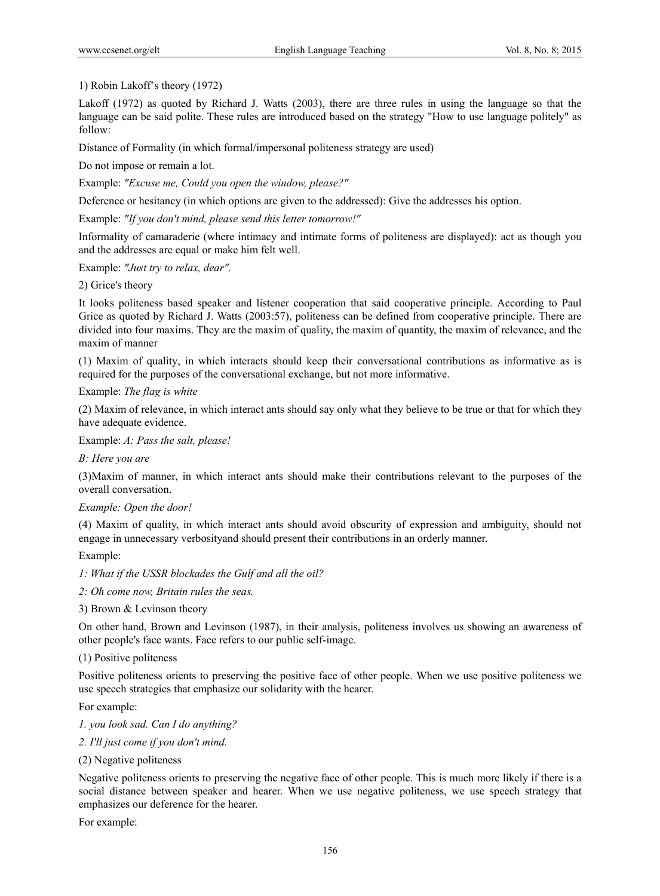1) Robin Lakoff's theory (1972)

Lakoff (1972) as quoted by Richard J. Watts (2003), there are three rules in using the language so that the language can be said polite. These rules are introduced based on the strategy "How to use language politely" as follow:

Distance of Formality (in which formal/impersonal politeness strategy are used)

Do not impose or remain a lot.

Example: *"Excuse me, Could you open the window, please?"*

Deference or hesitancy (in which options are given to the addressed): Give the addresses his option.

Example: *"If you don't mind, please send this letter tomorrow!"*

Informality of camaraderie (where intimacy and intimate forms of politeness are displayed): act as though you and the addresses are equal or make him felt well.

Example: *"Just try to relax, dear".* 

2) Grice's theory

It looks politeness based speaker and listener cooperation that said cooperative principle. According to Paul Grice as quoted by Richard J. Watts (2003:57), politeness can be defined from cooperative principle. There are divided into four maxims. They are the maxim of quality, the maxim of quantity, the maxim of relevance, and the maxim of manner

(1) Maxim of quality, in which interacts should keep their conversational contributions as informative as is required for the purposes of the conversational exchange, but not more informative.

Example: *The flag is white*

(2) Maxim of relevance, in which interact ants should say only what they believe to be true or that for which they have adequate evidence.

Example: *A: Pass the salt, please!* 

*B: Here you are* 

(3)Maxim of manner, in which interact ants should make their contributions relevant to the purposes of the overall conversation.

# *Example: Open the door!*

(4) Maxim of quality, in which interact ants should avoid obscurity of expression and ambiguity, should not engage in unnecessary verbosityand should present their contributions in an orderly manner.

Example:

*1: What if the USSR blockades the Gulf and all the oil?* 

*2: Oh come now, Britain rules the seas.* 

3) Brown & Levinson theory

On other hand, Brown and Levinson (1987), in their analysis, politeness involves us showing an awareness of other people's face wants. Face refers to our public self-image.

#### (1) Positive politeness

Positive politeness orients to preserving the positive face of other people. When we use positive politeness we use speech strategies that emphasize our solidarity with the hearer.

For example:

- *1. you look sad. Can I do anything?*
- *2. I'll just come if you don't mind.*

# (2) Negative politeness

Negative politeness orients to preserving the negative face of other people. This is much more likely if there is a social distance between speaker and hearer. When we use negative politeness, we use speech strategy that emphasizes our deference for the hearer.

For example: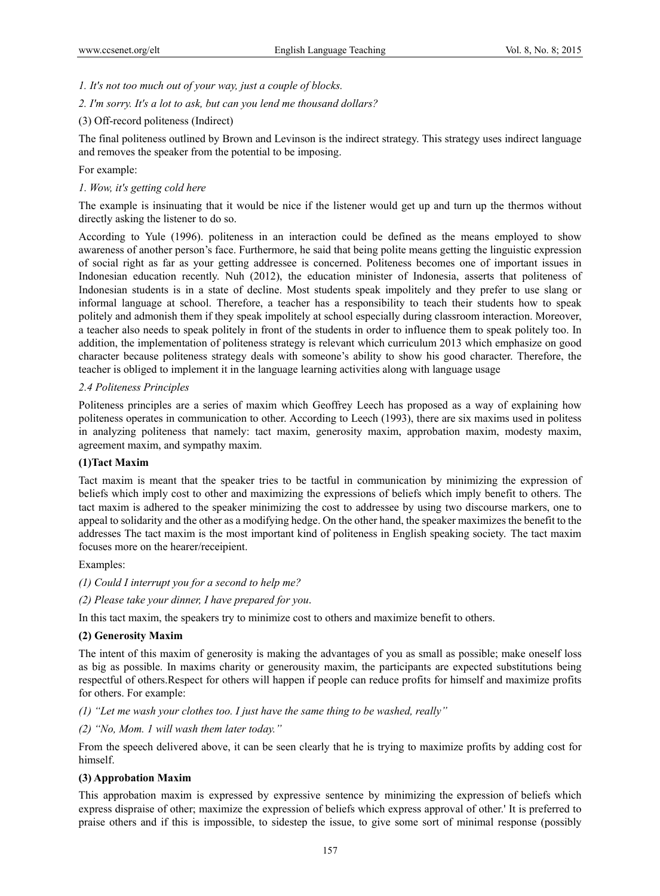- *1. It's not too much out of your way, just a couple of blocks.*
- *2. I'm sorry. It's a lot to ask, but can you lend me thousand dollars?*
- (3) Off-record politeness (Indirect)

The final politeness outlined by Brown and Levinson is the indirect strategy. This strategy uses indirect language and removes the speaker from the potential to be imposing.

# For example:

*1. Wow, it's getting cold here* 

The example is insinuating that it would be nice if the listener would get up and turn up the thermos without directly asking the listener to do so.

According to Yule (1996). politeness in an interaction could be defined as the means employed to show awareness of another person's face. Furthermore, he said that being polite means getting the linguistic expression of social right as far as your getting addressee is concerned. Politeness becomes one of important issues in Indonesian education recently. Nuh (2012), the education minister of Indonesia, asserts that politeness of Indonesian students is in a state of decline. Most students speak impolitely and they prefer to use slang or informal language at school. Therefore, a teacher has a responsibility to teach their students how to speak politely and admonish them if they speak impolitely at school especially during classroom interaction. Moreover, a teacher also needs to speak politely in front of the students in order to influence them to speak politely too. In addition, the implementation of politeness strategy is relevant which curriculum 2013 which emphasize on good character because politeness strategy deals with someone's ability to show his good character. Therefore, the teacher is obliged to implement it in the language learning activities along with language usage

# *2.4 Politeness Principles*

Politeness principles are a series of maxim which Geoffrey Leech has proposed as a way of explaining how politeness operates in communication to other. According to Leech (1993), there are six maxims used in politess in analyzing politeness that namely: tact maxim, generosity maxim, approbation maxim, modesty maxim, agreement maxim, and sympathy maxim.

# **(1)Tact Maxim**

Tact maxim is meant that the speaker tries to be tactful in communication by minimizing the expression of beliefs which imply cost to other and maximizing the expressions of beliefs which imply benefit to others. The tact maxim is adhered to the speaker minimizing the cost to addressee by using two discourse markers, one to appeal to solidarity and the other as a modifying hedge. On the other hand, the speaker maximizes the benefit to the addresses The tact maxim is the most important kind of politeness in English speaking society. The tact maxim focuses more on the hearer/receipient.

Examples:

*(1) Could I interrupt you for a second to help me?* 

*(2) Please take your dinner, I have prepared for you*.

In this tact maxim, the speakers try to minimize cost to others and maximize benefit to others.

# **(2) Generosity Maxim**

The intent of this maxim of generosity is making the advantages of you as small as possible; make oneself loss as big as possible. In maxims charity or generousity maxim, the participants are expected substitutions being respectful of others.Respect for others will happen if people can reduce profits for himself and maximize profits for others. For example:

*(1) "Let me wash your clothes too. I just have the same thing to be washed, really"* 

*(2) "No, Mom. 1 will wash them later today."* 

From the speech delivered above, it can be seen clearly that he is trying to maximize profits by adding cost for himself.

# **(3) Approbation Maxim**

This approbation maxim is expressed by expressive sentence by minimizing the expression of beliefs which express dispraise of other; maximize the expression of beliefs which express approval of other.' It is preferred to praise others and if this is impossible, to sidestep the issue, to give some sort of minimal response (possibly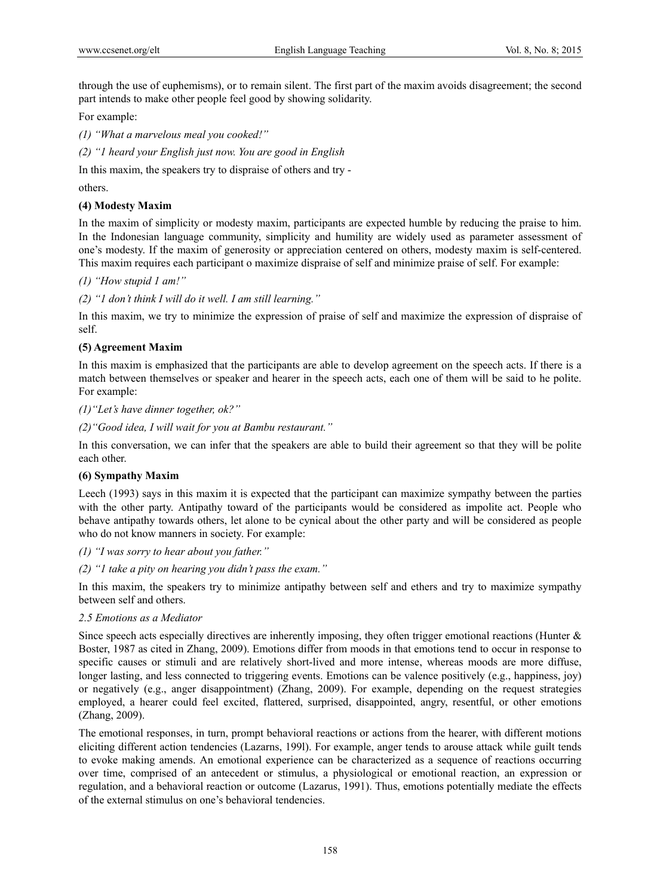through the use of euphemisms), or to remain silent. The first part of the maxim avoids disagreement; the second part intends to make other people feel good by showing solidarity.

For example:

*(1) "What a marvelous meal you cooked!"* 

*(2) "1 heard your English just now. You are good in English* 

In this maxim, the speakers try to dispraise of others and try -

others.

#### **(4) Modesty Maxim**

In the maxim of simplicity or modesty maxim, participants are expected humble by reducing the praise to him. In the Indonesian language community, simplicity and humility are widely used as parameter assessment of one's modesty. If the maxim of generosity or appreciation centered on others, modesty maxim is self-centered. This maxim requires each participant o maximize dispraise of self and minimize praise of self. For example:

*(1) "How stupid 1 am!"* 

*(2) "1 don't think I will do it well. I am still learning."* 

In this maxim, we try to minimize the expression of praise of self and maximize the expression of dispraise of self.

#### **(5) Agreement Maxim**

In this maxim is emphasized that the participants are able to develop agreement on the speech acts. If there is a match between themselves or speaker and hearer in the speech acts, each one of them will be said to he polite. For example:

*(1)"Let's have dinner together, ok?"* 

*(2)"Good idea, I will wait for you at Bambu restaurant."* 

In this conversation, we can infer that the speakers are able to build their agreement so that they will be polite each other.

#### **(6) Sympathy Maxim**

Leech (1993) says in this maxim it is expected that the participant can maximize sympathy between the parties with the other party. Antipathy toward of the participants would be considered as impolite act. People who behave antipathy towards others, let alone to be cynical about the other party and will be considered as people who do not know manners in society. For example:

- *(1) "I was sorry to hear about you father."*
- *(2) "1 take a pity on hearing you didn't pass the exam."*

In this maxim, the speakers try to minimize antipathy between self and ethers and try to maximize sympathy between self and others.

#### *2.5 Emotions as a Mediator*

Since speech acts especially directives are inherently imposing, they often trigger emotional reactions (Hunter  $\&$ Boster, 1987 as cited in Zhang, 2009). Emotions differ from moods in that emotions tend to occur in response to specific causes or stimuli and are relatively short-lived and more intense, whereas moods are more diffuse, longer lasting, and less connected to triggering events. Emotions can be valence positively (e.g., happiness, joy) or negatively (e.g., anger disappointment) (Zhang, 2009). For example, depending on the request strategies employed, a hearer could feel excited, flattered, surprised, disappointed, angry, resentful, or other emotions (Zhang, 2009).

The emotional responses, in turn, prompt behavioral reactions or actions from the hearer, with different motions eliciting different action tendencies (Lazarns, 199l). For example, anger tends to arouse attack while guilt tends to evoke making amends. An emotional experience can be characterized as a sequence of reactions occurring over time, comprised of an antecedent or stimulus, a physiological or emotional reaction, an expression or regulation, and a behavioral reaction or outcome (Lazarus, 1991). Thus, emotions potentially mediate the effects of the external stimulus on one's behavioral tendencies.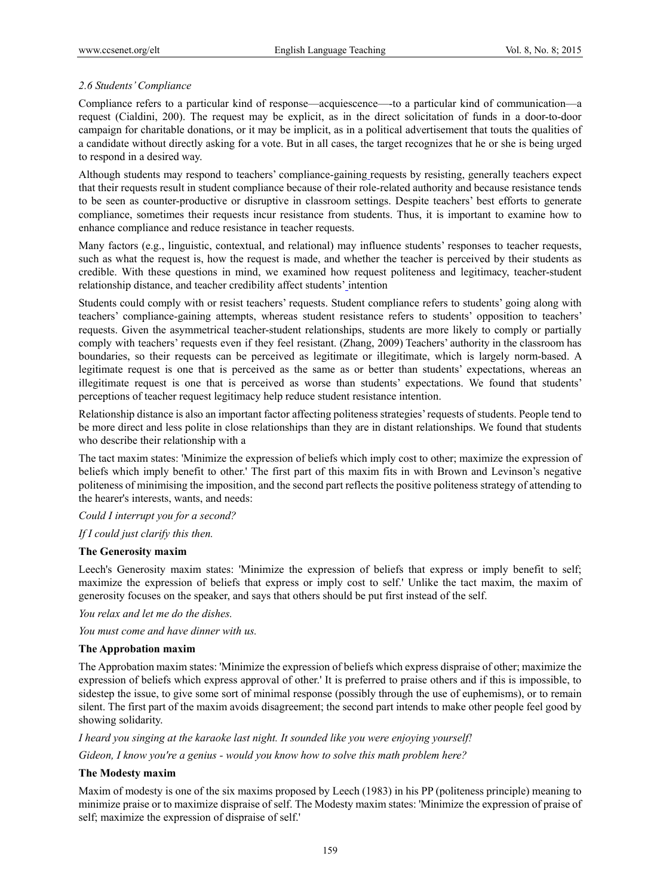## *2.6 Students' Compliance*

Compliance refers to a particular kind of response—acquiescence—-to a particular kind of communication—a request (Cialdini, 200). The request may be explicit, as in the direct solicitation of funds in a door-to-door campaign for charitable donations, or it may be implicit, as in a political advertisement that touts the qualities of a candidate without directly asking for a vote. But in all cases, the target recognizes that he or she is being urged to respond in a desired way.

Although students may respond to teachers' compliance-gaining requests by resisting, generally teachers expect that their requests result in student compliance because of their role-related authority and because resistance tends to be seen as counter-productive or disruptive in classroom settings. Despite teachers' best efforts to generate compliance, sometimes their requests incur resistance from students. Thus, it is important to examine how to enhance compliance and reduce resistance in teacher requests.

Many factors (e.g., linguistic, contextual, and relational) may influence students' responses to teacher requests, such as what the request is, how the request is made, and whether the teacher is perceived by their students as credible. With these questions in mind, we examined how request politeness and legitimacy, teacher-student relationship distance, and teacher credibility affect students' intention

Students could comply with or resist teachers' requests. Student compliance refers to students' going along with teachers' compliance-gaining attempts, whereas student resistance refers to students' opposition to teachers' requests. Given the asymmetrical teacher-student relationships, students are more likely to comply or partially comply with teachers' requests even if they feel resistant. (Zhang, 2009) Teachers' authority in the classroom has boundaries, so their requests can be perceived as legitimate or illegitimate, which is largely norm-based. A legitimate request is one that is perceived as the same as or better than students' expectations, whereas an illegitimate request is one that is perceived as worse than students' expectations. We found that students' perceptions of teacher request legitimacy help reduce student resistance intention.

Relationship distance is also an important factor affecting politeness strategies' requests of students. People tend to be more direct and less polite in close relationships than they are in distant relationships. We found that students who describe their relationship with a

The tact maxim states: 'Minimize the expression of beliefs which imply cost to other; maximize the expression of beliefs which imply benefit to other.' The first part of this maxim fits in with Brown and Levinson's negative politeness of minimising the imposition, and the second part reflects the positive politeness strategy of attending to the hearer's interests, wants, and needs:

#### *Could I interrupt you for a second?*

#### *If I could just clarify this then.*

#### **The Generosity maxim**

Leech's Generosity maxim states: 'Minimize the expression of beliefs that express or imply benefit to self; maximize the expression of beliefs that express or imply cost to self.' Unlike the tact maxim, the maxim of generosity focuses on the speaker, and says that others should be put first instead of the self.

*You relax and let me do the dishes.*

*You must come and have dinner with us.*

#### **The Approbation maxim**

The Approbation maxim states: 'Minimize the expression of beliefs which express dispraise of other; maximize the expression of beliefs which express approval of other.' It is preferred to praise others and if this is impossible, to sidestep the issue, to give some sort of minimal response (possibly through the use of euphemisms), or to remain silent. The first part of the maxim avoids disagreement; the second part intends to make other people feel good by showing solidarity.

*I heard you singing at the karaoke last night. It sounded like you were enjoying yourself!*

*Gideon, I know you're a genius - would you know how to solve this math problem here?*

# **The Modesty maxim**

Maxim of modesty is one of the six maxims proposed by Leech (1983) in his PP (politeness principle) meaning to minimize praise or to maximize dispraise of self. The Modesty maxim states: 'Minimize the expression of praise of self; maximize the expression of dispraise of self.'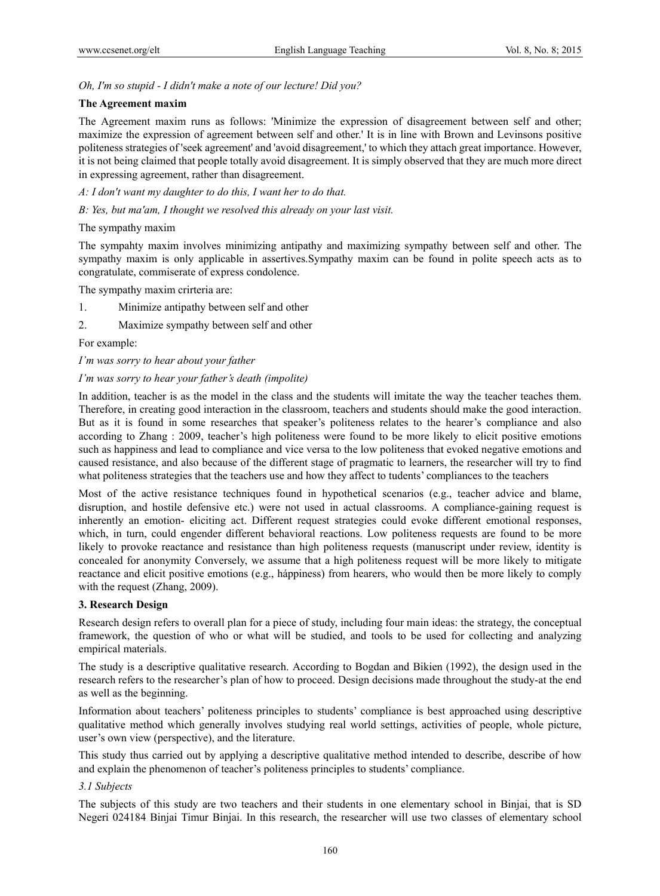# *Oh, I'm so stupid - I didn't make a note of our lecture! Did you?*

## **The Agreement maxim**

The Agreement maxim runs as follows: 'Minimize the expression of disagreement between self and other; maximize the expression of agreement between self and other.' It is in line with Brown and Levinsons positive politeness strategies of 'seek agreement' and 'avoid disagreement,' to which they attach great importance. However, it is not being claimed that people totally avoid disagreement. It is simply observed that they are much more direct in expressing agreement, rather than disagreement.

*A: I don't want my daughter to do this, I want her to do that.*

*B: Yes, but ma'am, I thought we resolved this already on your last visit.* 

#### The sympathy maxim

The sympahty maxim involves minimizing antipathy and maximizing sympathy between self and other. The sympathy maxim is only applicable in assertives.Sympathy maxim can be found in polite speech acts as to congratulate, commiserate of express condolence.

The sympathy maxim crirteria are:

- 1. Minimize antipathy between self and other
- 2. Maximize sympathy between self and other

For example:

#### *I'm was sorry to hear about your father*

# *I'm was sorry to hear your father's death (impolite)*

In addition, teacher is as the model in the class and the students will imitate the way the teacher teaches them. Therefore, in creating good interaction in the classroom, teachers and students should make the good interaction. But as it is found in some researches that speaker's politeness relates to the hearer's compliance and also according to Zhang : 2009, teacher's high politeness were found to be more likely to elicit positive emotions such as happiness and lead to compliance and vice versa to the low politeness that evoked negative emotions and caused resistance, and also because of the different stage of pragmatic to learners, the researcher will try to find what politeness strategies that the teachers use and how they affect to tudents' compliances to the teachers

Most of the active resistance techniques found in hypothetical scenarios (e.g., teacher advice and blame, disruption, and hostile defensive etc.) were not used in actual classrooms. A compliance-gaining request is inherently an emotion- eliciting act. Different request strategies could evoke different emotional responses, which, in turn, could engender different behavioral reactions. Low politeness requests are found to be more likely to provoke reactance and resistance than high politeness requests (manuscript under review, identity is concealed for anonymity Conversely, we assume that a high politeness request will be more likely to mitigate reactance and elicit positive emotions (e.g., háppiness) from hearers, who would then be more likely to comply with the request (Zhang, 2009).

# **3. Research Design**

Research design refers to overall plan for a piece of study, including four main ideas: the strategy, the conceptual framework, the question of who or what will be studied, and tools to be used for collecting and analyzing empirical materials.

The study is a descriptive qualitative research. According to Bogdan and Bikien (1992), the design used in the research refers to the researcher's plan of how to proceed. Design decisions made throughout the study-at the end as well as the beginning.

Information about teachers' politeness principles to students' compliance is best approached using descriptive qualitative method which generally involves studying real world settings, activities of people, whole picture, user's own view (perspective), and the literature.

This study thus carried out by applying a descriptive qualitative method intended to describe, describe of how and explain the phenomenon of teacher's politeness principles to students' compliance.

# *3.1 Subjects*

The subjects of this study are two teachers and their students in one elementary school in Binjai, that is SD Negeri 024184 Binjai Timur Binjai. In this research, the researcher will use two classes of elementary school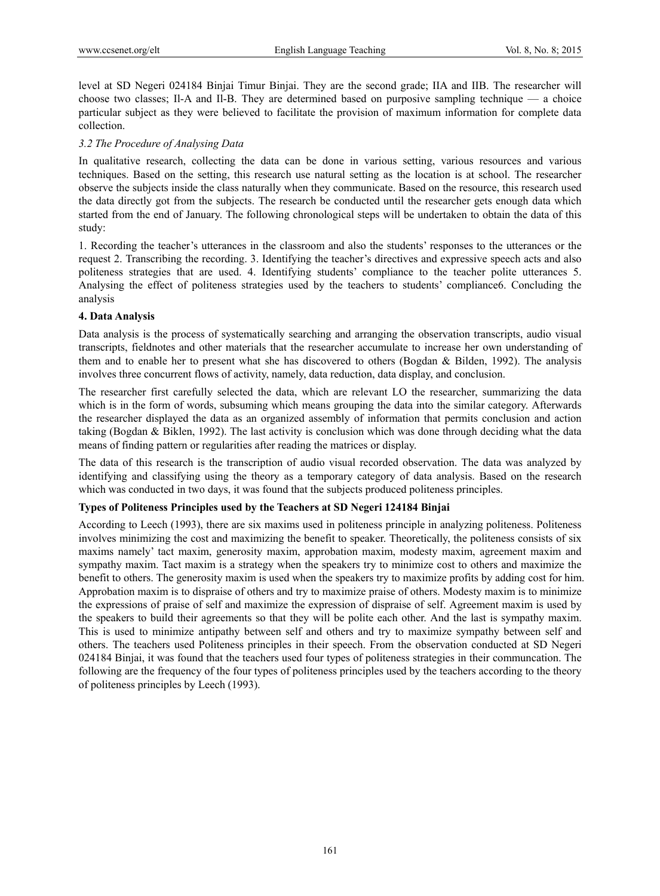level at SD Negeri 024184 Binjai Timur Binjai. They are the second grade; IIA and IIB. The researcher will choose two classes; Il-A and Il-B. They are determined based on purposive sampling technique — a choice particular subject as they were believed to facilitate the provision of maximum information for complete data collection.

## *3.2 The Procedure of Analysing Data*

In qualitative research, collecting the data can be done in various setting, various resources and various techniques. Based on the setting, this research use natural setting as the location is at school. The researcher observe the subjects inside the class naturally when they communicate. Based on the resource, this research used the data directly got from the subjects. The research be conducted until the researcher gets enough data which started from the end of January. The following chronological steps will be undertaken to obtain the data of this study:

1. Recording the teacher's utterances in the classroom and also the students' responses to the utterances or the request 2. Transcribing the recording. 3. Identifying the teacher's directives and expressive speech acts and also politeness strategies that are used. 4. Identifying students' compliance to the teacher polite utterances 5. Analysing the effect of politeness strategies used by the teachers to students' compliance6. Concluding the analysis

#### **4. Data Analysis**

Data analysis is the process of systematically searching and arranging the observation transcripts, audio visual transcripts, fieldnotes and other materials that the researcher accumulate to increase her own understanding of them and to enable her to present what she has discovered to others (Bogdan & Bilden, 1992). The analysis involves three concurrent flows of activity, namely, data reduction, data display, and conclusion.

The researcher first carefully selected the data, which are relevant LO the researcher, summarizing the data which is in the form of words, subsuming which means grouping the data into the similar category. Afterwards the researcher displayed the data as an organized assembly of information that permits conclusion and action taking (Bogdan & Biklen, 1992). The last activity is conclusion which was done through deciding what the data means of finding pattern or regularities after reading the matrices or display.

The data of this research is the transcription of audio visual recorded observation. The data was analyzed by identifying and classifying using the theory as a temporary category of data analysis. Based on the research which was conducted in two days, it was found that the subjects produced politeness principles.

# **Types of Politeness Principles used by the Teachers at SD Negeri 124184 Binjai**

According to Leech (1993), there are six maxims used in politeness principle in analyzing politeness. Politeness involves minimizing the cost and maximizing the benefit to speaker. Theoretically, the politeness consists of six maxims namely' tact maxim, generosity maxim, approbation maxim, modesty maxim, agreement maxim and sympathy maxim. Tact maxim is a strategy when the speakers try to minimize cost to others and maximize the benefit to others. The generosity maxim is used when the speakers try to maximize profits by adding cost for him. Approbation maxim is to dispraise of others and try to maximize praise of others. Modesty maxim is to minimize the expressions of praise of self and maximize the expression of dispraise of self. Agreement maxim is used by the speakers to build their agreements so that they will be polite each other. And the last is sympathy maxim. This is used to minimize antipathy between self and others and try to maximize sympathy between self and others. The teachers used Politeness principles in their speech. From the observation conducted at SD Negeri 024184 Binjai, it was found that the teachers used four types of politeness strategies in their communcation. The following are the frequency of the four types of politeness principles used by the teachers according to the theory of politeness principles by Leech (1993).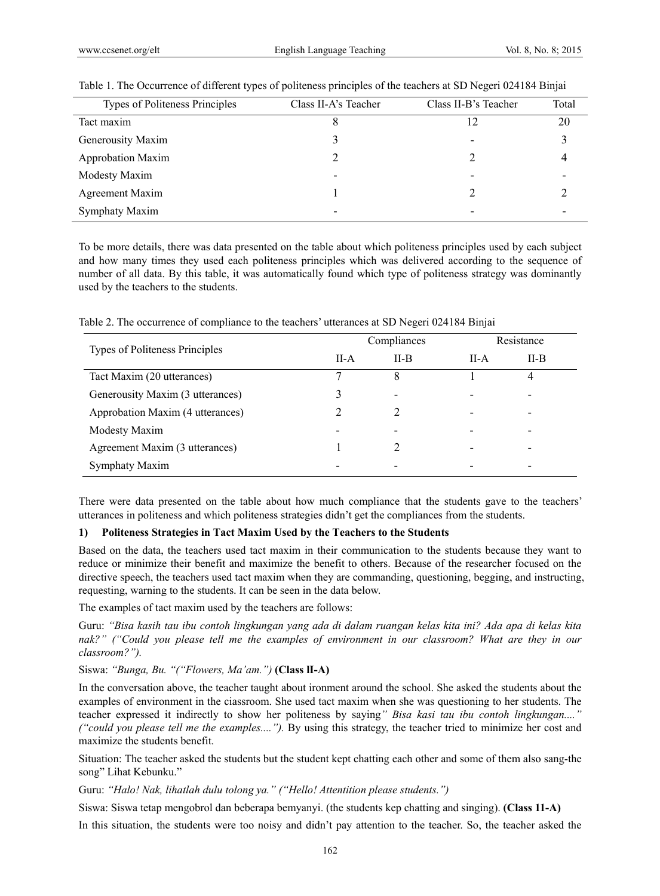| Types of Politeness Principles | Class II-A's Teacher | Class II-B's Teacher | Total |
|--------------------------------|----------------------|----------------------|-------|
| Tact maxim                     | 8                    |                      | 20    |
| Generousity Maxim              |                      | ۰                    |       |
| <b>Approbation Maxim</b>       |                      |                      |       |
| Modesty Maxim                  |                      |                      |       |
| Agreement Maxim                |                      |                      |       |
| <b>Symphaty Maxim</b>          |                      |                      |       |

Table 1. The Occurrence of different types of politeness principles of the teachers at SD Negeri 024184 Binjai

To be more details, there was data presented on the table about which politeness principles used by each subject and how many times they used each politeness principles which was delivered according to the sequence of number of all data. By this table, it was automatically found which type of politeness strategy was dominantly used by the teachers to the students.

|  | Table 2. The occurrence of compliance to the teachers' utterances at SD Negeri 024184 Binjai |  |  |  |  |  |
|--|----------------------------------------------------------------------------------------------|--|--|--|--|--|
|  |                                                                                              |  |  |  |  |  |

|                                  | Compliances |                          | Resistance |        |
|----------------------------------|-------------|--------------------------|------------|--------|
| Types of Politeness Principles   | $II-A$      | $II-B$                   | $II-A$     | $II-B$ |
| Tact Maxim (20 utterances)       |             | 8                        |            | 4      |
| Generousity Maxim (3 utterances) |             | $\overline{\phantom{0}}$ |            |        |
| Approbation Maxim (4 utterances) |             |                          |            |        |
| Modesty Maxim                    | -           |                          |            |        |
| Agreement Maxim (3 utterances)   |             |                          |            |        |
| Symphaty Maxim                   | ۰           | -                        |            |        |

There were data presented on the table about how much compliance that the students gave to the teachers' utterances in politeness and which politeness strategies didn't get the compliances from the students.

#### **1) Politeness Strategies in Tact Maxim Used by the Teachers to the Students**

Based on the data, the teachers used tact maxim in their communication to the students because they want to reduce or minimize their benefit and maximize the benefit to others. Because of the researcher focused on the directive speech, the teachers used tact maxim when they are commanding, questioning, begging, and instructing, requesting, warning to the students. It can be seen in the data below.

The examples of tact maxim used by the teachers are follows:

Guru: *"Bisa kasih tau ibu contoh lingkungan yang ada di dalam ruangan kelas kita ini? Ada apa di kelas kita*  nak?" ("Could you please tell me the examples of environment in our classroom? What are they in our *classroom?").* 

Siswa: *"Bunga, Bu. "("Flowers, Ma'am.")* **(Class lI-A)**

In the conversation above, the teacher taught about ironment around the school. She asked the students about the examples of environment in the ciassroom. She used tact maxim when she was questioning to her students. The teacher expressed it indirectly to show her politeness by saying*" Bisa kasi tau ibu contoh lingkungan...." ("could you please tell me the examples....").* By using this strategy, the teacher tried to minimize her cost and maximize the students benefit.

Situation: The teacher asked the students but the student kept chatting each other and some of them also sang-the song" Lihat Kebunku."

Guru: *"Halo! Nak, lihatlah dulu tolong ya." ("Hello! Attentition please students.")*

Siswa: Siswa tetap mengobrol dan beberapa bemyanyi. (the students kep chatting and singing). **(Class 11-A)**

In this situation, the students were too noisy and didn't pay attention to the teacher. So, the teacher asked the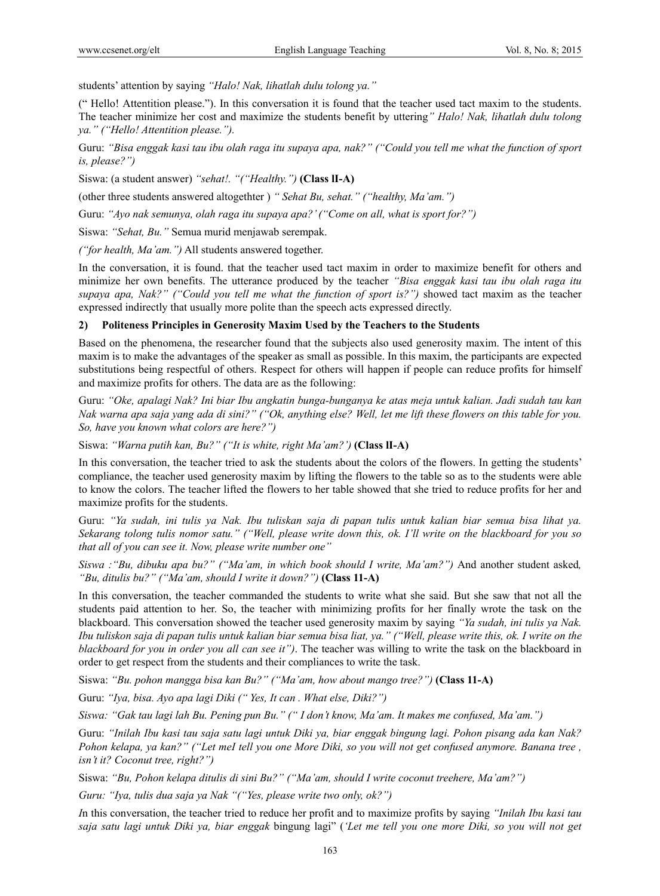students' attention by saying *"Halo! Nak, lihatlah dulu tolong ya."* 

(" Hello! Attentition please."). In this conversation it is found that the teacher used tact maxim to the students. The teacher minimize her cost and maximize the students benefit by uttering*" Halo! Nak, lihatlah dulu tolong ya." ("Hello! Attentition please.").*

Guru: *"Bisa enggak kasi tau ibu olah raga itu supaya apa, nak?" ("Could you tell me what the function of sport is, please?")* 

Siswa: (a student answer) *"sehat!. "("Healthy.")* **(Class lI-A)**

(other three students answered altogethter ) *" Sehat Bu, sehat." ("healthy, Ma'am.")* 

Guru: *"Ayo nak semunya, olah raga itu supaya apa?' ("Come on all, what is sport for?")* 

Siswa: *"Sehat, Bu."* Semua murid menjawab serempak.

*("for health, Ma'am.")* All students answered together.

In the conversation, it is found. that the teacher used tact maxim in order to maximize benefit for others and minimize her own benefits. The utterance produced by the teacher *"Bisa enggak kasi tau ibu olah raga itu supaya apa, Nak?" ("Could you tell me what the function of sport is?")* showed tact maxim as the teacher expressed indirectly that usually more polite than the speech acts expressed directly.

#### **2) Politeness Principles in Generosity Maxim Used by the Teachers to the Students**

Based on the phenomena, the researcher found that the subjects also used generosity maxim. The intent of this maxim is to make the advantages of the speaker as small as possible. In this maxim, the participants are expected substitutions being respectful of others. Respect for others will happen if people can reduce profits for himself and maximize profits for others. The data are as the following:

Guru: *"Oke, apalagi Nak? Ini biar Ibu angkatin bunga-bunganya ke atas meja untuk kalian. Jadi sudah tau kan Nak warna apa saja yang ada di sini?" ("Ok, anything else? Well, let me lift these flowers on this table for you. So, have you known what colors are here?")* 

Siswa: *"Warna putih kan, Bu?" ("It is white, right Ma'am?')* **(Class lI-A)**

In this conversation, the teacher tried to ask the students about the colors of the flowers. In getting the students' compliance, the teacher used generosity maxim by lifting the flowers to the table so as to the students were able to know the colors. The teacher lifted the flowers to her table showed that she tried to reduce profits for her and maximize profits for the students.

Guru: *"Ya sudah, ini tulis ya Nak. Ibu tuliskan saja di papan tulis untuk kalian biar semua bisa lihat ya. Sekarang tolong tulis nomor satu." ("Well, please write down this, ok. I'll write on the blackboard for you so that all of you can see it. Now, please write number one"* 

*Siswa :"Bu, dibuku apa bu?" ("Ma'am, in which book should I write, Ma'am?")* And another student asked*, "Bu, ditulis bu?" ("Ma'am, should I write it down?")* **(Class 11-A)** 

In this conversation, the teacher commanded the students to write what she said. But she saw that not all the students paid attention to her. So, the teacher with minimizing profits for her finally wrote the task on the blackboard. This conversation showed the teacher used generosity maxim by saying *"Ya sudah, ini tulis ya Nak. Ibu tuliskon saja di papan tulis untuk kalian biar semua bisa liat, ya." ("Well, please write this, ok. I write on the blackboard for you in order you all can see it")*. The teacher was willing to write the task on the blackboard in order to get respect from the students and their compliances to write the task.

Siswa: *"Bu. pohon mangga bisa kan Bu?" ("Ma'am, how about mango tree?")* **(Class 11-A)** 

Guru: *"Iya, bisa. Ayo apa lagi Diki (" Yes, It can . What else, Diki?")* 

*Siswa: "Gak tau lagi lah Bu. Pening pun Bu." (" I don't know, Ma'am. It makes me confused, Ma'am.")* 

Guru: *"Inilah Ibu kasi tau saja satu lagi untuk Diki ya, biar enggak bingung lagi. Pohon pisang ada kan Nak? Pohon kelapa, ya kan?" ("Let meI tell you one More Diki, so you will not get confused anymore. Banana tree , isn't it? Coconut tree, right?")* 

Siswa: *"Bu, Pohon kelapa ditulis di sini Bu?" ("Ma'am, should I write coconut treehere, Ma'am?")* 

*Guru: "Iya, tulis dua saja ya Nak "("Yes, please write two only, ok?")* 

*I*n this conversation, the teacher tried to reduce her profit and to maximize profits by saying *"Inilah Ibu kasi tau saja satu lagi untuk Diki ya, biar enggak* bingung lagi" (*'Let me tell you one more Diki, so you will not get*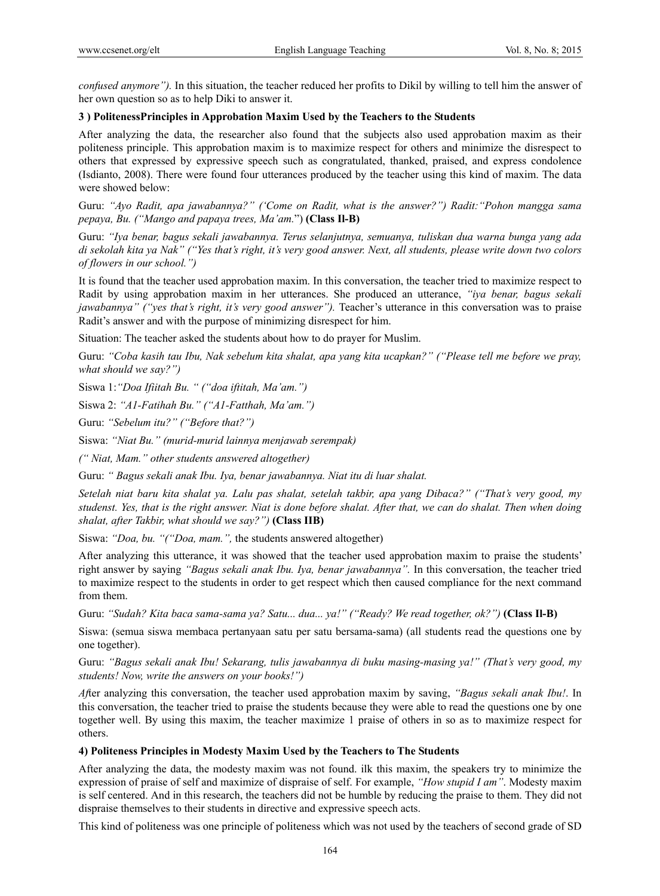*confused anymore").* In this situation, the teacher reduced her profits to Dikil by willing to tell him the answer of her own question so as to help Diki to answer it.

# **3 ) PolitenessPrinciples in Approbation Maxim Used by the Teachers to the Students**

After analyzing the data, the researcher also found that the subjects also used approbation maxim as their politeness principle. This approbation maxim is to maximize respect for others and minimize the disrespect to others that expressed by expressive speech such as congratulated, thanked, praised, and express condolence (Isdianto, 2008). There were found four utterances produced by the teacher using this kind of maxim. The data were showed below:

Guru: *"Ayo Radit, apa jawabannya?" ('Come on Radit, what is the answer?") Radit:"Pohon mangga sama pepaya, Bu. ("Mango and papaya trees, Ma'am.*") **(Class Il-B)** 

Guru: *"Iya benar, bagus sekali jawabannya. Terus selanjutnya, semuanya, tuliskan dua warna bunga yang ada di sekolah kita ya Nak" ("Yes that's right, it's very good answer. Next, all students, please write down two colors of flowers in our school.")* 

It is found that the teacher used approbation maxim. In this conversation, the teacher tried to maximize respect to Radit by using approbation maxim in her utterances. She produced an utterance, *"iya benar, bagus sekali jawabannya" ("yes that's right, it's very good answer").* Teacher's utterance in this conversation was to praise Radit's answer and with the purpose of minimizing disrespect for him.

Situation: The teacher asked the students about how to do prayer for Muslim.

Guru: *"Coba kasih tau Ibu, Nak sebelum kita shalat, apa yang kita ucapkan?" ("Please tell me before we pray, what should we say?")* 

Siswa 1:*"Doa Ifiitah Bu. " ("doa iftitah, Ma'am.")* 

Siswa 2: *"A1-Fatihah Bu." ("A1-Fatthah, Ma'am.")*

Guru: *"Sebelum itu?" ("Before that?")* 

Siswa: *"Niat Bu." (murid-murid lainnya menjawab serempak)* 

*(" Niat, Mam." other students answered altogether)* 

Guru: *" Bagus sekali anak Ibu. Iya, benar jawabannya. Niat itu di luar shalat.* 

*Setelah niat baru kita shalat ya. Lalu pas shalat, setelah takbir, apa yang Dibaca?" ("That's very good, my studenst. Yes, that is the right answer. Niat is done before shalat. After that, we can do shalat. Then when doing shalat, after Takbir, what should we say?")* **(Class IIB)**

Siswa: *"Doa, bu. "("Doa, mam.",* the students answered altogether)

After analyzing this utterance, it was showed that the teacher used approbation maxim to praise the students' right answer by saying *"Bagus sekali anak Ibu. Iya, benar jawabannya".* In this conversation, the teacher tried to maximize respect to the students in order to get respect which then caused compliance for the next command from them.

Guru: *"Sudah? Kita baca sama-sama ya? Satu... dua... ya!" ("Ready? We read together, ok?")* **(Class Il-B)**

Siswa: (semua siswa membaca pertanyaan satu per satu bersama-sama) (all students read the questions one by one together).

Guru: *"Bagus sekali anak Ibu! Sekarang, tulis jawabannya di buku masing-masing ya!" (That's very good, my students! Now, write the answers on your books!")* 

*Af*ter analyzing this conversation, the teacher used approbation maxim by saving, *"Bagus sekali anak Ibu!*. In this conversation, the teacher tried to praise the students because they were able to read the questions one by one together well. By using this maxim, the teacher maximize 1 praise of others in so as to maximize respect for others.

#### **4) Politeness Principles in Modesty Maxim Used by the Teachers to The Students**

After analyzing the data, the modesty maxim was not found. ilk this maxim, the speakers try to minimize the expression of praise of self and maximize of dispraise of self. For example, *"How stupid I am"*. Modesty maxim is self centered. And in this research, the teachers did not be humble by reducing the praise to them. They did not dispraise themselves to their students in directive and expressive speech acts.

This kind of politeness was one principle of politeness which was not used by the teachers of second grade of SD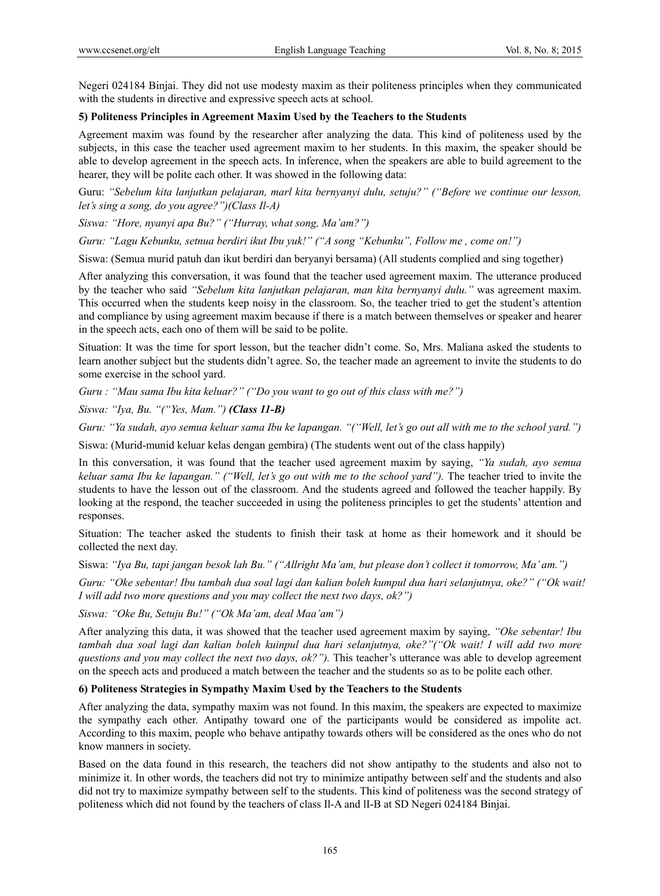Negeri 024184 Binjai. They did not use modesty maxim as their politeness principles when they communicated with the students in directive and expressive speech acts at school.

# **5) Politeness Principles in Agreement Maxim Used by the Teachers to the Students**

Agreement maxim was found by the researcher after analyzing the data. This kind of politeness used by the subjects, in this case the teacher used agreement maxim to her students. In this maxim, the speaker should be able to develop agreement in the speech acts. In inference, when the speakers are able to build agreement to the hearer, they will be polite each other. It was showed in the following data:

Guru: *"Sebelum kita lanjutkan pelajaran, marl kita bernyanyi dulu, setuju?" ("Before we continue our lesson, let's sing a song, do you agree?")(Class Il-A)* 

*Siswa: "Hore, nyanyi apa Bu?" ("Hurray, what song, Ma'am?")* 

*Guru: "Lagu Kebunku, setnua berdiri ikut Ibu yuk!" ("A song "Kebunku", Follow me , come on!")* 

Siswa: (Semua murid patuh dan ikut berdiri dan beryanyi bersama) (All students complied and sing together)

After analyzing this conversation, it was found that the teacher used agreement maxim. The utterance produced by the teacher who said *"Sebelum kita lanjutkan pelajaran, man kita bernyanyi dulu."* was agreement maxim. This occurred when the students keep noisy in the classroom. So, the teacher tried to get the student's attention and compliance by using agreement maxim because if there is a match between themselves or speaker and hearer in the speech acts, each ono of them will be said to be polite.

Situation: It was the time for sport lesson, but the teacher didn't come. So, Mrs. Maliana asked the students to learn another subject but the students didn't agree. So, the teacher made an agreement to invite the students to do some exercise in the school yard.

*Guru : "Mau sama Ibu kita keluar?" ("Do you want to go out of this class with me?")* 

*Siswa: "Iya, Bu. "("Yes, Mam.") (Class 11-B)* 

*Guru: "Ya sudah, ayo semua keluar sama Ibu ke lapangan. "("Well, let's go out all with me to the school yard.")* 

Siswa: (Murid-munid keluar kelas dengan gembira) (The students went out of the class happily)

In this conversation, it was found that the teacher used agreement maxim by saying, *"Ya sudah, ayo semua keluar sama Ibu ke lapangan." ("Well, let's go out with me to the school yard").* The teacher tried to invite the students to have the lesson out of the classroom. And the students agreed and followed the teacher happily. By looking at the respond, the teacher succeeded in using the politeness principles to get the students' attention and responses.

Situation: The teacher asked the students to finish their task at home as their homework and it should be collected the next day.

Siswa: *"Iya Bu, tapi jangan besok lah Bu." ("Allright Ma'am, but please don't collect it tomorrow, Ma' am.")* 

*Guru: "Oke sebentar! Ibu tambah dua soal lagi dan kalian boleh kumpul dua hari selanjutnya, oke?" ("Ok wait! I will add two more questions and you may collect the next two days, ok?")* 

*Siswa: "Oke Bu, Setuju Bu!" ("Ok Ma'am, deal Maa'am")* 

After analyzing this data, it was showed that the teacher used agreement maxim by saying, *"Oke sebentar! Ibu tambah dua soal lagi dan kalian boleh kuinpul dua hari selanjutnya, oke?"("Ok wait! I will add two more questions and you may collect the next two days, ok?").* This teacher's utterance was able to develop agreement on the speech acts and produced a match between the teacher and the students so as to be polite each other.

# **6) Politeness Strategies in Sympathy Maxim Used by the Teachers to the Students**

After analyzing the data, sympathy maxim was not found. In this maxim, the speakers are expected to maximize the sympathy each other. Antipathy toward one of the participants would be considered as impolite act. According to this maxim, people who behave antipathy towards others will be considered as the ones who do not know manners in society.

Based on the data found in this research, the teachers did not show antipathy to the students and also not to minimize it. In other words, the teachers did not try to minimize antipathy between self and the students and also did not try to maximize sympathy between self to the students. This kind of politeness was the second strategy of politeness which did not found by the teachers of class Il-A and lI-B at SD Negeri 024184 Binjai.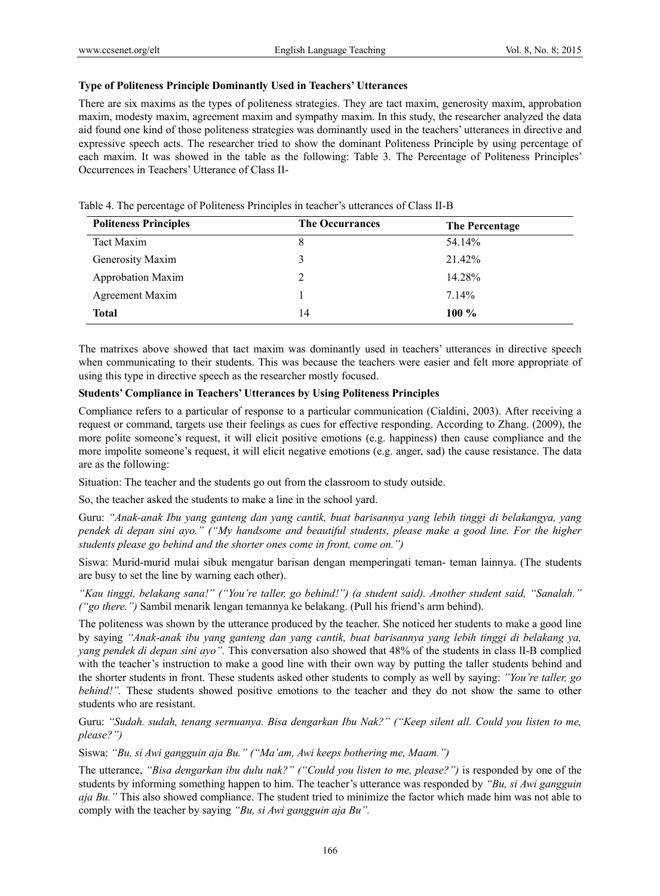## **Type of Politeness Principle Dominantly Used in Teachers' Utterances**

There are six maxims as the types of politeness strategies. They are tact maxim, generosity maxim, approbation maxim, modesty maxim, agreement maxim and sympathy maxim. In this study, the researcher analyzed the data aid found one kind of those politeness strategies was dominantly used in the teachers' utterances in directive and expressive speech acts. The researcher tried to show the dominant Politeness Principle by using percentage of each maxim. It was showed in the table as the following: Table 3. The Percentage of Politeness Principles' Occurrences in Teachers' Utterance of Class II-

| <b>Politeness Principles</b> | <b>The Occurrances</b> | The Percentage |
|------------------------------|------------------------|----------------|
| <b>Tact Maxim</b>            | 8                      | 54.14%         |
| Generosity Maxim             |                        | 21.42%         |
| <b>Approbation Maxim</b>     | 2                      | 14.28%         |
| Agreement Maxim              |                        | 7.14%          |
| <b>Total</b>                 | 14                     | $100\%$        |

Table 4. The percentage of Politeness Principles in teacher's utterances of Class II-B

The matrixes above showed that tact maxim was dominantly used in teachers' utterances in directive speech when communicating to their students. This was because the teachers were easier and felt more appropriate of using this type in directive speech as the researcher mostly focused.

# **Students' Compliance in Teachers' Utterances by Using Politeness Principles**

Compliance refers to a particular of response to a particular communication (Cialdini, 2003). After receiving a request or command, targets use their feelings as cues for effective responding. According to Zhang. (2009), the more polite someone's request, it will elicit positive emotions (e.g. happiness) then cause compliance and the more impolite someone's request, it will elicit negative emotions (e.g. anger, sad) the cause resistance. The data are as the following:

Situation: The teacher and the students go out from the classroom to study outside.

So, the teacher asked the students to make a line in the school yard.

Guru: *"Anak-anak Ibu yang ganteng dan yang cantik, buat barisannya yang lebih tinggi di belakangya, yang pendek di depan sini ayo." ("My handsome and beautiful students, please make a good line. For the higher students please go behind and the shorter ones come in front, come on.")* 

Siswa: Murid-murid mulai sibuk mengatur barisan dengan memperingati teman- teman lainnya. (The students are busy to set the line by warning each other).

*"Kau tinggi, belakang sana!" ("You're taller, go behind!") (a student said). Another student said, "Sanalah." ("go there.")* Sambil menarik lengan temannya ke belakang. (Pull his friend's arm behind).

The politeness was shown by the utterance produced by the teacher. She noticed her students to make a good line by saying *"Anak-anak ibu yang ganteng dan yang cantik, buat barisannya yang lebih tinggi di belakang ya, yang pendek di depan sini ayo".* This conversation also showed that 48% of the students in class lI-B complied with the teacher's instruction to make a good line with their own way by putting the taller students behind and the shorter students in front. These students asked other students to comply as well by saying: *"You're taller, go behind!".* These students showed positive emotions to the teacher and they do not show the same to other students who are resistant.

Guru: *"Sudah. sudah, tenang sernuanya. Bisa dengarkan Ibu Nak?" ("Keep silent all. Could you listen to me, please?")* 

Siswa: *"Bu, si Awi gangguin aja Bu." ("Ma'am, Awi keeps bothering me, Maam.")* 

The utterance, *"Bisa dengarkan ibu dulu nak?" ("Could you listen to me, please?")* is responded by one of the students by informing something happen to him. The teacher's utterance was responded by *"Bu, si Awi gangguin aja Bu."* This also showed compliance. The student tried to minimize the factor which made him was not able to comply with the teacher by saying *"Bu, si Awi gangguin aja Bu".*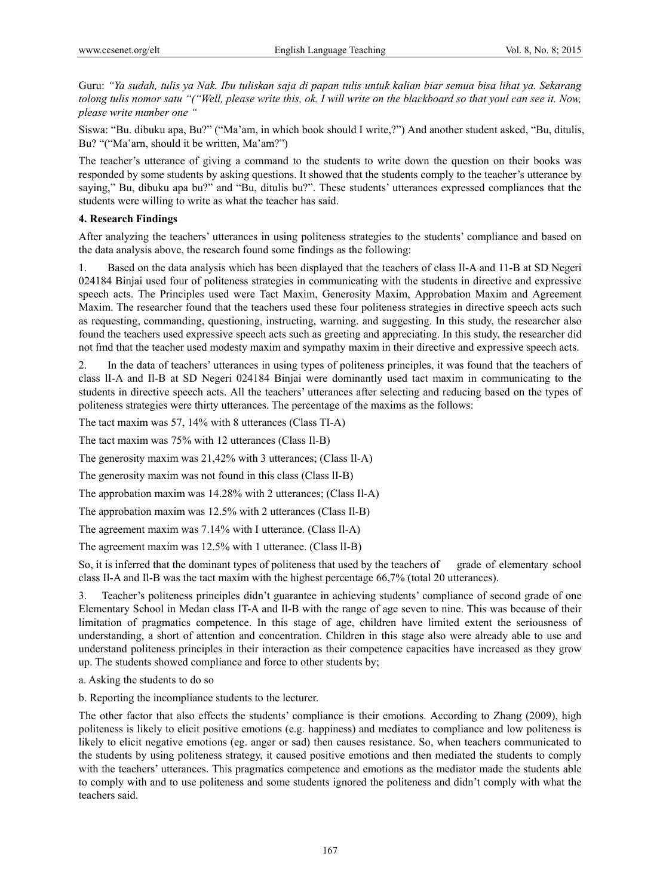Guru: *"Ya sudah, tulis ya Nak. Ibu tuliskan saja di papan tulis untuk kalian biar semua bisa lihat ya. Sekarang tolong tulis nomor satu "("Well, please write this, ok. I will write on the blackboard so that youl can see it. Now, please write number one "* 

Siswa: "Bu. dibuku apa, Bu?" ("Ma'am, in which book should I write,?") And another student asked, "Bu, ditulis, Bu? "("Ma'arn, should it be written, Ma'am?")

The teacher's utterance of giving a command to the students to write down the question on their books was responded by some students by asking questions. It showed that the students comply to the teacher's utterance by saying," Bu, dibuku apa bu?" and "Bu, ditulis bu?". These students' utterances expressed compliances that the students were willing to write as what the teacher has said.

# **4. Research Findings**

After analyzing the teachers' utterances in using politeness strategies to the students' compliance and based on the data analysis above, the research found some findings as the following:

1. Based on the data analysis which has been displayed that the teachers of class Il-A and 11-B at SD Negeri 024184 Binjai used four of politeness strategies in communicating with the students in directive and expressive speech acts. The Principles used were Tact Maxim, Generosity Maxim, Approbation Maxim and Agreement Maxim. The researcher found that the teachers used these four politeness strategies in directive speech acts such as requesting, commanding, questioning, instructing, warning. and suggesting. In this study, the researcher also found the teachers used expressive speech acts such as greeting and appreciating. In this study, the researcher did not fmd that the teacher used modesty maxim and sympathy maxim in their directive and expressive speech acts.

2. In the data of teachers' utterances in using types of politeness principles, it was found that the teachers of class lI-A and Il-B at SD Negeri 024184 Binjai were dominantly used tact maxim in communicating to the students in directive speech acts. All the teachers' utterances after selecting and reducing based on the types of politeness strategies were thirty utterances. The percentage of the maxims as the follows:

The tact maxim was 57, 14% with 8 utterances (Class TI-A)

The tact maxim was 75% with 12 utterances (Class Il-B)

The generosity maxim was 21,42% with 3 utterances; (Class Il-A)

The generosity maxim was not found in this class (Class lI-B)

The approbation maxim was 14.28% with 2 utterances; (Class Il-A)

The approbation maxim was 12.5% with 2 utterances (Class Il-B)

The agreement maxim was 7.14% with I utterance. (Class Il-A)

The agreement maxim was 12.5% with 1 utterance. (Class lI-B)

So, it is inferred that the dominant types of politeness that used by the teachers of grade of elementary school class Il-A and Il-B was the tact maxim with the highest percentage 66,7% (total 20 utterances).

3. Teacher's politeness principles didn't guarantee in achieving students' compliance of second grade of one Elementary School in Medan class IT-A and Il-B with the range of age seven to nine. This was because of their limitation of pragmatics competence. In this stage of age, children have limited extent the seriousness of understanding, a short of attention and concentration. Children in this stage also were already able to use and understand politeness principles in their interaction as their competence capacities have increased as they grow up. The students showed compliance and force to other students by;

a. Asking the students to do so

b. Reporting the incompliance students to the lecturer.

The other factor that also effects the students' compliance is their emotions. According to Zhang (2009), high politeness is likely to elicit positive emotions (e.g. happiness) and mediates to compliance and low politeness is likely to elicit negative emotions (eg. anger or sad) then causes resistance. So, when teachers communicated to the students by using politeness strategy, it caused positive emotions and then mediated the students to comply with the teachers' utterances. This pragmatics competence and emotions as the mediator made the students able to comply with and to use politeness and some students ignored the politeness and didn't comply with what the teachers said.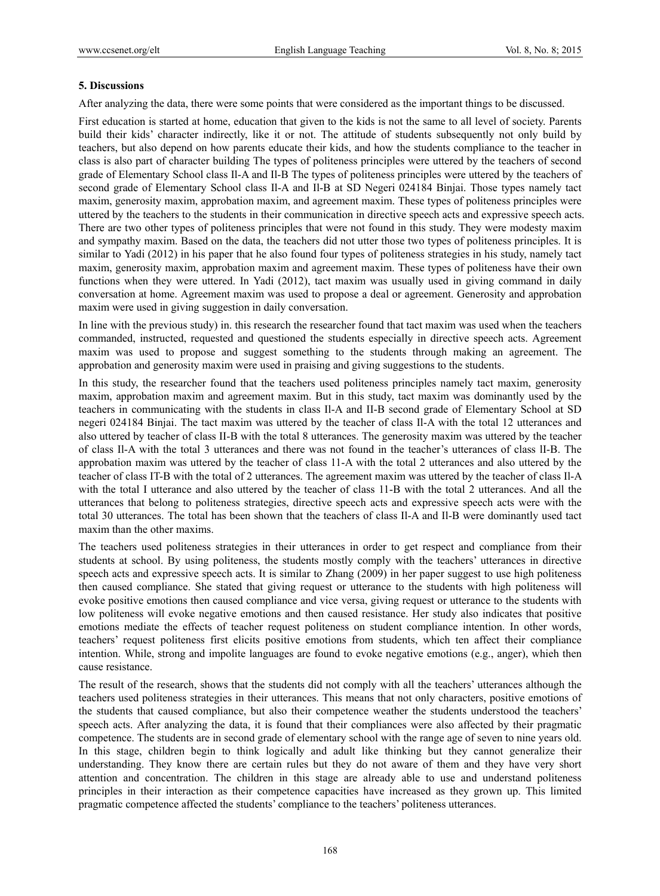## **5. Discussions**

After analyzing the data, there were some points that were considered as the important things to be discussed.

First education is started at home, education that given to the kids is not the same to all level of society. Parents build their kids' character indirectly, like it or not. The attitude of students subsequently not only build by teachers, but also depend on how parents educate their kids, and how the students compliance to the teacher in class is also part of character building The types of politeness principles were uttered by the teachers of second grade of Elementary School class Il-A and Il-B The types of politeness principles were uttered by the teachers of second grade of Elementary School class Il-A and Il-B at SD Negeri 024184 Binjai. Those types namely tact maxim, generosity maxim, approbation maxim, and agreement maxim. These types of politeness principles were uttered by the teachers to the students in their communication in directive speech acts and expressive speech acts. There are two other types of politeness principles that were not found in this study. They were modesty maxim and sympathy maxim. Based on the data, the teachers did not utter those two types of politeness principles. It is similar to Yadi (2012) in his paper that he also found four types of politeness strategies in his study, namely tact maxim, generosity maxim, approbation maxim and agreement maxim. These types of politeness have their own functions when they were uttered. In Yadi (2012), tact maxim was usually used in giving command in daily conversation at home. Agreement maxim was used to propose a deal or agreement. Generosity and approbation maxim were used in giving suggestion in daily conversation.

In line with the previous study) in. this research the researcher found that tact maxim was used when the teachers commanded, instructed, requested and questioned the students especially in directive speech acts. Agreement maxim was used to propose and suggest something to the students through making an agreement. The approbation and generosity maxim were used in praising and giving suggestions to the students.

In this study, the researcher found that the teachers used politeness principles namely tact maxim, generosity maxim, approbation maxim and agreement maxim. But in this study, tact maxim was dominantly used by the teachers in communicating with the students in class Il-A and II-B second grade of Elementary School at SD negeri 024184 Binjai. The tact maxim was uttered by the teacher of class Il-A with the total 12 utterances and also uttered by teacher of class II-B with the total 8 utterances. The generosity maxim was uttered by the teacher of class Il-A with the total 3 utterances and there was not found in the teacher's utterances of class lI-B. The approbation maxim was uttered by the teacher of class 11-A with the total 2 utterances and also uttered by the teacher of class IT-B with the total of 2 utterances. The agreement maxim was uttered by the teacher of class Il-A with the total I utterance and also uttered by the teacher of class 11-B with the total 2 utterances. And all the utterances that belong to politeness strategies, directive speech acts and expressive speech acts were with the total 30 utterances. The total has been shown that the teachers of class Il-A and Il-B were dominantly used tact maxim than the other maxims.

The teachers used politeness strategies in their utterances in order to get respect and compliance from their students at school. By using politeness, the students mostly comply with the teachers' utterances in directive speech acts and expressive speech acts. It is similar to Zhang (2009) in her paper suggest to use high politeness then caused compliance. She stated that giving request or utterance to the students with high politeness will evoke positive emotions then caused compliance and vice versa, giving request or utterance to the students with low politeness will evoke negative emotions and then caused resistance. Her study also indicates that positive emotions mediate the effects of teacher request politeness on student compliance intention. In other words, teachers' request politeness first elicits positive emotions from students, which ten affect their compliance intention. While, strong and impolite languages are found to evoke negative emotions (e.g., anger), whieh then cause resistance.

The result of the research, shows that the students did not comply with all the teachers' utterances although the teachers used politeness strategies in their utterances. This means that not only characters, positive emotions of the students that caused compliance, but also their competence weather the students understood the teachers' speech acts. After analyzing the data, it is found that their compliances were also affected by their pragmatic competence. The students are in second grade of elementary school with the range age of seven to nine years old. In this stage, children begin to think logically and adult like thinking but they cannot generalize their understanding. They know there are certain rules but they do not aware of them and they have very short attention and concentration. The children in this stage are already able to use and understand politeness principles in their interaction as their competence capacities have increased as they grown up. This limited pragmatic competence affected the students' compliance to the teachers' politeness utterances.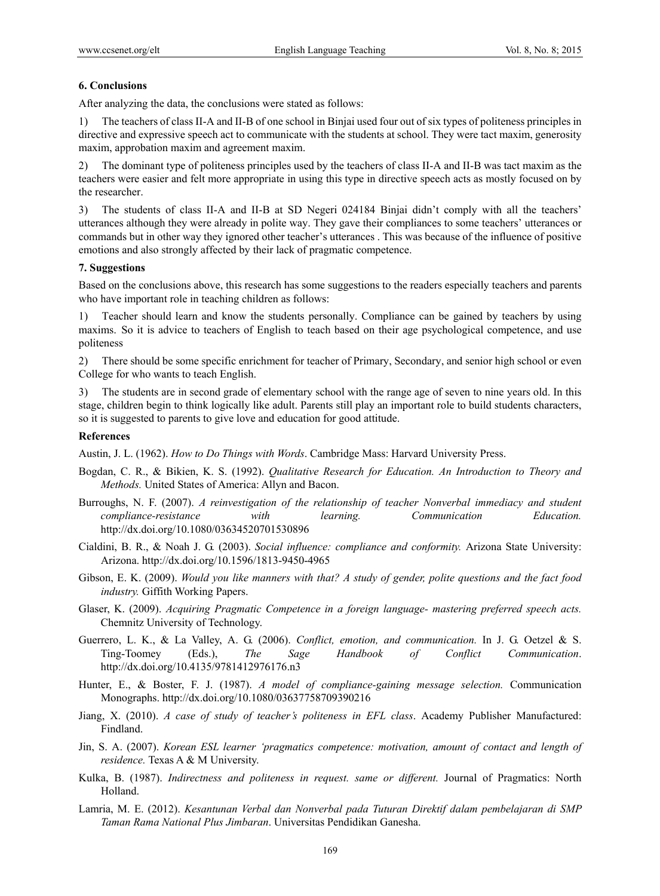## **6. Conclusions**

After analyzing the data, the conclusions were stated as follows:

1) The teachers of class II-A and II-B of one school in Binjai used four out of six types of politeness principles in directive and expressive speech act to communicate with the students at school. They were tact maxim, generosity maxim, approbation maxim and agreement maxim.

2) The dominant type of politeness principles used by the teachers of class II-A and II-B was tact maxim as the teachers were easier and felt more appropriate in using this type in directive speech acts as mostly focused on by the researcher.

3) The students of class II-A and II-B at SD Negeri 024184 Binjai didn't comply with all the teachers' utterances although they were already in polite way. They gave their compliances to some teachers' utterances or commands but in other way they ignored other teacher's utterances . This was because of the influence of positive emotions and also strongly affected by their lack of pragmatic competence.

#### **7. Suggestions**

Based on the conclusions above, this research has some suggestions to the readers especially teachers and parents who have important role in teaching children as follows:

1) Teacher should learn and know the students personally. Compliance can be gained by teachers by using maxims. So it is advice to teachers of English to teach based on their age psychological competence, and use politeness

2) There should be some specific enrichment for teacher of Primary, Secondary, and senior high school or even College for who wants to teach English.

3) The students are in second grade of elementary school with the range age of seven to nine years old. In this stage, children begin to think logically like adult. Parents still play an important role to build students characters, so it is suggested to parents to give love and education for good attitude.

#### **References**

Austin, J. L. (1962). *How to Do Things with Words*. Cambridge Mass: Harvard University Press.

- Bogdan, C. R., & Bikien, K. S. (1992). *Qualitative Research for Education. An Introduction to Theory and Methods.* United States of America: Allyn and Bacon.
- Burroughs, N. F. (2007). *A reinvestigation of the relationship of teacher Nonverbal immediacy and student compliance-resistance with learning. Communication Education.* http://dx.doi.org/10.1080/03634520701530896
- Cialdini, B. R., & Noah J. G. (2003). *Social influence: compliance and conformity.* Arizona State University: Arizona. http://dx.doi.org/10.1596/1813-9450-4965
- Gibson, E. K. (2009). *Would you like manners with that? A study of gender, polite questions and the fact food industry.* Giffith Working Papers.
- Glaser, K. (2009). *Acquiring Pragmatic Competence in a foreign language- mastering preferred speech acts.* Chemnitz University of Technology.
- Guerrero, L. K., & La Valley, A. G. (2006). *Conflict, emotion, and communication.* In J. G. Oetzel & S. Ting-Toomey (Eds.), *The Sage Handbook of Conflict Communication*. http://dx.doi.org/10.4135/9781412976176.n3
- Hunter, E., & Boster, F. J. (1987). *A model of compliance-gaining message selection.* Communication Monographs. http://dx.doi.org/10.1080/03637758709390216
- Jiang, X. (2010). *A case of study of teacher's politeness in EFL class*. Academy Publisher Manufactured: Findland.
- Jin, S. A. (2007). *Korean ESL learner 'pragmatics competence: motivation, amount of contact and length of residence.* Texas A & M University.
- Kulka, B. (1987). *Indirectness and politeness in request. same or different.* Journal of Pragmatics: North Holland.
- Lamria, M. E. (2012). *Kesantunan Verbal dan Nonverbal pada Tuturan Direktif dalam pembelajaran di SMP Taman Rama National Plus Jimbaran*. Universitas Pendidikan Ganesha.